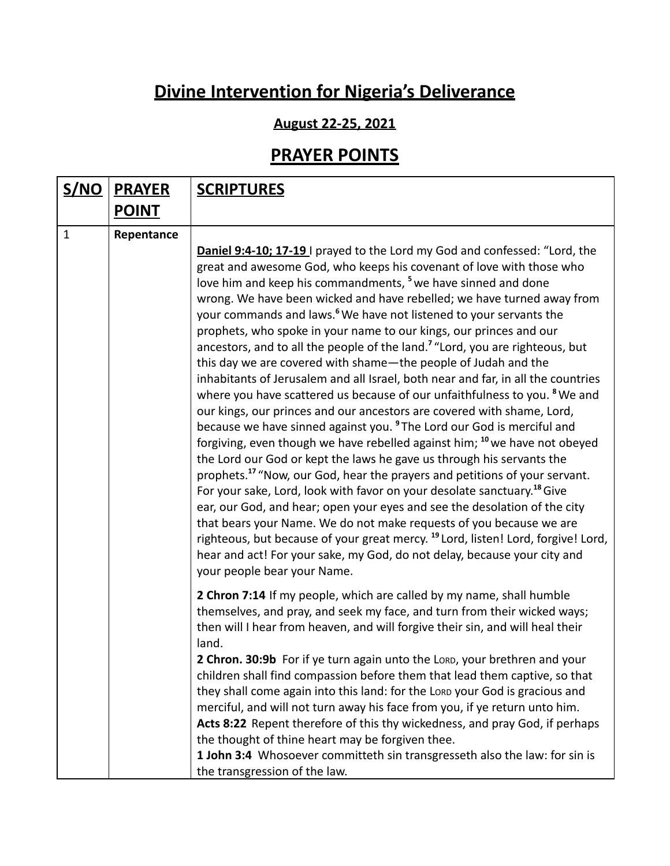## **Divine Intervention for Nigeria's Deliverance**

## **August 22-25, 2021**

## **PRAYER POINTS**

| <u>S/NO</u>  | <b>PRAYER</b> | <b>SCRIPTURES</b>                                                                                                                                                                                                                                                                                                                                                                                                                                                                                                                                                                                                                                                                                                                                                                                                                                                                                                                                                                                                                                                                                                                                                                                                                                                                                                                                                                                                                                                                                                                                                                                                                                                                                   |
|--------------|---------------|-----------------------------------------------------------------------------------------------------------------------------------------------------------------------------------------------------------------------------------------------------------------------------------------------------------------------------------------------------------------------------------------------------------------------------------------------------------------------------------------------------------------------------------------------------------------------------------------------------------------------------------------------------------------------------------------------------------------------------------------------------------------------------------------------------------------------------------------------------------------------------------------------------------------------------------------------------------------------------------------------------------------------------------------------------------------------------------------------------------------------------------------------------------------------------------------------------------------------------------------------------------------------------------------------------------------------------------------------------------------------------------------------------------------------------------------------------------------------------------------------------------------------------------------------------------------------------------------------------------------------------------------------------------------------------------------------------|
|              | <b>POINT</b>  |                                                                                                                                                                                                                                                                                                                                                                                                                                                                                                                                                                                                                                                                                                                                                                                                                                                                                                                                                                                                                                                                                                                                                                                                                                                                                                                                                                                                                                                                                                                                                                                                                                                                                                     |
| $\mathbf{1}$ | Repentance    |                                                                                                                                                                                                                                                                                                                                                                                                                                                                                                                                                                                                                                                                                                                                                                                                                                                                                                                                                                                                                                                                                                                                                                                                                                                                                                                                                                                                                                                                                                                                                                                                                                                                                                     |
|              |               | <b>Daniel 9:4-10; 17-19</b> I prayed to the Lord my God and confessed: "Lord, the<br>great and awesome God, who keeps his covenant of love with those who<br>love him and keep his commandments, <sup>5</sup> we have sinned and done<br>wrong. We have been wicked and have rebelled; we have turned away from<br>your commands and laws. <sup>6</sup> We have not listened to your servants the<br>prophets, who spoke in your name to our kings, our princes and our<br>ancestors, and to all the people of the land. <sup>7</sup> "Lord, you are righteous, but<br>this day we are covered with shame-the people of Judah and the<br>inhabitants of Jerusalem and all Israel, both near and far, in all the countries<br>where you have scattered us because of our unfaithfulness to you. <sup>8</sup> We and<br>our kings, our princes and our ancestors are covered with shame, Lord,<br>because we have sinned against you. <sup>9</sup> The Lord our God is merciful and<br>forgiving, even though we have rebelled against him; <sup>10</sup> we have not obeyed<br>the Lord our God or kept the laws he gave us through his servants the<br>prophets. <sup>17</sup> "Now, our God, hear the prayers and petitions of your servant.<br>For your sake, Lord, look with favor on your desolate sanctuary. <sup>18</sup> Give<br>ear, our God, and hear; open your eyes and see the desolation of the city<br>that bears your Name. We do not make requests of you because we are<br>righteous, but because of your great mercy. <sup>19</sup> Lord, listen! Lord, forgive! Lord,<br>hear and act! For your sake, my God, do not delay, because your city and<br>your people bear your Name. |
|              |               | 2 Chron 7:14 If my people, which are called by my name, shall humble<br>themselves, and pray, and seek my face, and turn from their wicked ways;<br>then will I hear from heaven, and will forgive their sin, and will heal their<br>land.                                                                                                                                                                                                                                                                                                                                                                                                                                                                                                                                                                                                                                                                                                                                                                                                                                                                                                                                                                                                                                                                                                                                                                                                                                                                                                                                                                                                                                                          |
|              |               | 2 Chron. 30:9b For if ye turn again unto the Lord, your brethren and your<br>children shall find compassion before them that lead them captive, so that<br>they shall come again into this land: for the LORD your God is gracious and                                                                                                                                                                                                                                                                                                                                                                                                                                                                                                                                                                                                                                                                                                                                                                                                                                                                                                                                                                                                                                                                                                                                                                                                                                                                                                                                                                                                                                                              |
|              |               | merciful, and will not turn away his face from you, if ye return unto him.<br>Acts 8:22 Repent therefore of this thy wickedness, and pray God, if perhaps<br>the thought of thine heart may be forgiven thee.                                                                                                                                                                                                                                                                                                                                                                                                                                                                                                                                                                                                                                                                                                                                                                                                                                                                                                                                                                                                                                                                                                                                                                                                                                                                                                                                                                                                                                                                                       |
|              |               | 1 John 3:4 Whosoever committeth sin transgresseth also the law: for sin is                                                                                                                                                                                                                                                                                                                                                                                                                                                                                                                                                                                                                                                                                                                                                                                                                                                                                                                                                                                                                                                                                                                                                                                                                                                                                                                                                                                                                                                                                                                                                                                                                          |
|              |               | the transgression of the law.                                                                                                                                                                                                                                                                                                                                                                                                                                                                                                                                                                                                                                                                                                                                                                                                                                                                                                                                                                                                                                                                                                                                                                                                                                                                                                                                                                                                                                                                                                                                                                                                                                                                       |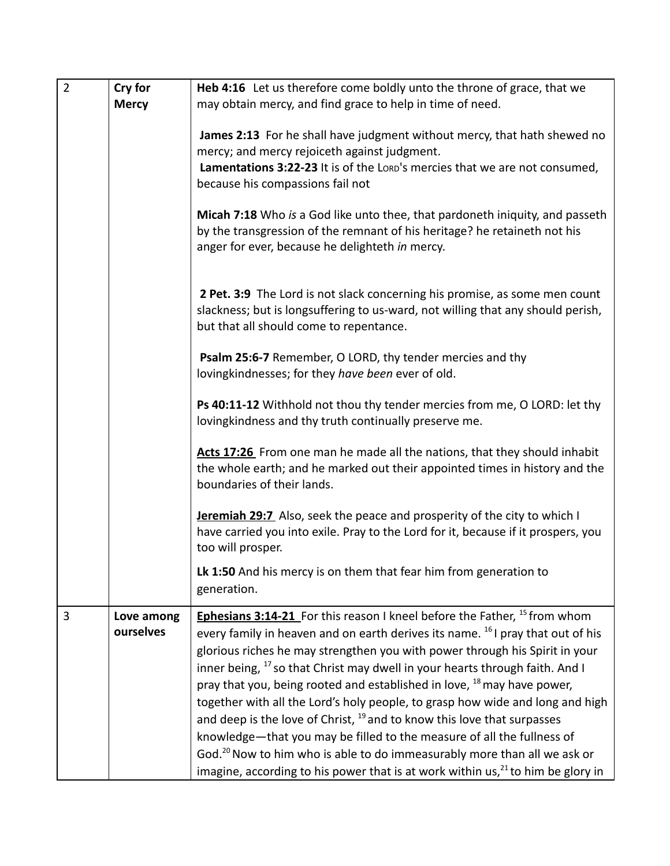| $\overline{2}$ | Cry for      | Heb 4:16 Let us therefore come boldly unto the throne of grace, that we                     |
|----------------|--------------|---------------------------------------------------------------------------------------------|
|                | <b>Mercy</b> | may obtain mercy, and find grace to help in time of need.                                   |
|                |              |                                                                                             |
|                |              | James 2:13 For he shall have judgment without mercy, that hath shewed no                    |
|                |              | mercy; and mercy rejoiceth against judgment.                                                |
|                |              | Lamentations 3:22-23 It is of the LORD's mercies that we are not consumed,                  |
|                |              |                                                                                             |
|                |              | because his compassions fail not                                                            |
|                |              |                                                                                             |
|                |              | Micah 7:18 Who is a God like unto thee, that pardoneth iniquity, and passeth                |
|                |              | by the transgression of the remnant of his heritage? he retaineth not his                   |
|                |              | anger for ever, because he delighteth in mercy.                                             |
|                |              |                                                                                             |
|                |              |                                                                                             |
|                |              | 2 Pet. 3:9 The Lord is not slack concerning his promise, as some men count                  |
|                |              | slackness; but is longsuffering to us-ward, not willing that any should perish,             |
|                |              | but that all should come to repentance.                                                     |
|                |              |                                                                                             |
|                |              | Psalm 25:6-7 Remember, O LORD, thy tender mercies and thy                                   |
|                |              | lovingkindnesses; for they have been ever of old.                                           |
|                |              |                                                                                             |
|                |              |                                                                                             |
|                |              | Ps 40:11-12 Withhold not thou thy tender mercies from me, O LORD: let thy                   |
|                |              | lovingkindness and thy truth continually preserve me.                                       |
|                |              |                                                                                             |
|                |              | Acts 17:26 From one man he made all the nations, that they should inhabit                   |
|                |              | the whole earth; and he marked out their appointed times in history and the                 |
|                |              | boundaries of their lands.                                                                  |
|                |              |                                                                                             |
|                |              | <b>Jeremiah 29:7</b> Also, seek the peace and prosperity of the city to which I             |
|                |              | have carried you into exile. Pray to the Lord for it, because if it prospers, you           |
|                |              | too will prosper.                                                                           |
|                |              |                                                                                             |
|                |              | Lk 1:50 And his mercy is on them that fear him from generation to                           |
|                |              | generation.                                                                                 |
| 3              | Love among   | <b>Ephesians 3:14-21</b> For this reason I kneel before the Father, <sup>15</sup> from whom |
|                | ourselves    |                                                                                             |
|                |              | every family in heaven and on earth derives its name. <sup>16</sup> I pray that out of his  |
|                |              | glorious riches he may strengthen you with power through his Spirit in your                 |
|                |              | inner being, <sup>17</sup> so that Christ may dwell in your hearts through faith. And I     |
|                |              | pray that you, being rooted and established in love, <sup>18</sup> may have power,          |
|                |              | together with all the Lord's holy people, to grasp how wide and long and high               |
|                |              |                                                                                             |
|                |              | and deep is the love of Christ, <sup>19</sup> and to know this love that surpasses          |
|                |              | knowledge-that you may be filled to the measure of all the fullness of                      |
|                |              | God. <sup>20</sup> Now to him who is able to do immeasurably more than all we ask or        |
|                |              | imagine, according to his power that is at work within $us^{21}$ to him be glory in         |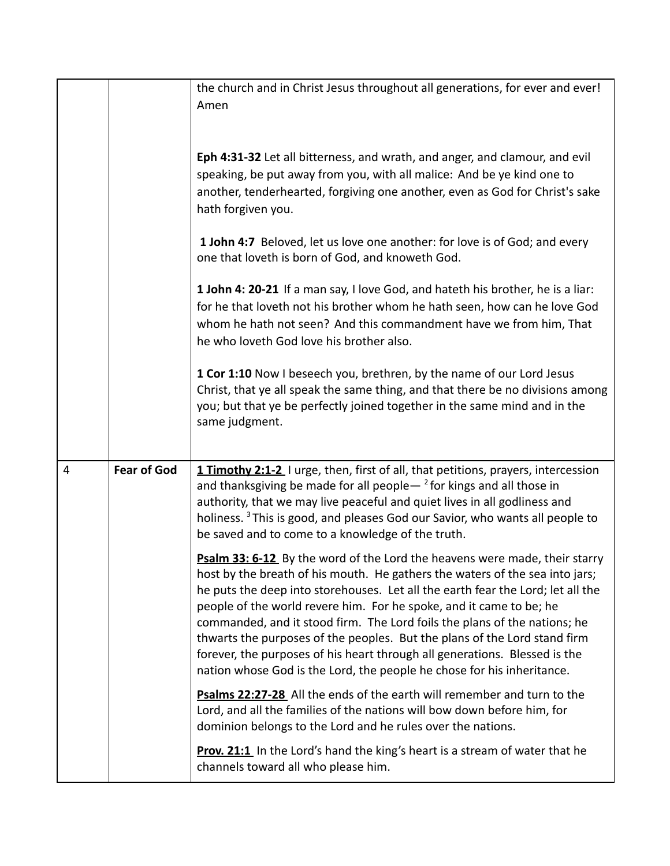|                |                    | the church and in Christ Jesus throughout all generations, for ever and ever!<br>Amen<br>Eph 4:31-32 Let all bitterness, and wrath, and anger, and clamour, and evil<br>speaking, be put away from you, with all malice: And be ye kind one to<br>another, tenderhearted, forgiving one another, even as God for Christ's sake<br>hath forgiven you.<br>1 John 4:7 Beloved, let us love one another: for love is of God; and every<br>one that loveth is born of God, and knoweth God.<br>1 John 4: 20-21 If a man say, I love God, and hateth his brother, he is a liar:<br>for he that loveth not his brother whom he hath seen, how can he love God<br>whom he hath not seen? And this commandment have we from him, That<br>he who loveth God love his brother also.<br>1 Cor 1:10 Now I beseech you, brethren, by the name of our Lord Jesus<br>Christ, that ye all speak the same thing, and that there be no divisions among<br>you; but that ye be perfectly joined together in the same mind and in the |
|----------------|--------------------|------------------------------------------------------------------------------------------------------------------------------------------------------------------------------------------------------------------------------------------------------------------------------------------------------------------------------------------------------------------------------------------------------------------------------------------------------------------------------------------------------------------------------------------------------------------------------------------------------------------------------------------------------------------------------------------------------------------------------------------------------------------------------------------------------------------------------------------------------------------------------------------------------------------------------------------------------------------------------------------------------------------|
| $\overline{4}$ | <b>Fear of God</b> | same judgment.                                                                                                                                                                                                                                                                                                                                                                                                                                                                                                                                                                                                                                                                                                                                                                                                                                                                                                                                                                                                   |
|                |                    | 1 Timothy 2:1-2 I urge, then, first of all, that petitions, prayers, intercession<br>and thanksgiving be made for all people $-$ <sup>2</sup> for kings and all those in<br>authority, that we may live peaceful and quiet lives in all godliness and<br>holiness. <sup>3</sup> This is good, and pleases God our Savior, who wants all people to<br>be saved and to come to a knowledge of the truth.                                                                                                                                                                                                                                                                                                                                                                                                                                                                                                                                                                                                           |
|                |                    | Psalm 33: 6-12 By the word of the Lord the heavens were made, their starry<br>host by the breath of his mouth. He gathers the waters of the sea into jars;<br>he puts the deep into storehouses. Let all the earth fear the Lord; let all the<br>people of the world revere him. For he spoke, and it came to be; he<br>commanded, and it stood firm. The Lord foils the plans of the nations; he<br>thwarts the purposes of the peoples. But the plans of the Lord stand firm<br>forever, the purposes of his heart through all generations. Blessed is the<br>nation whose God is the Lord, the people he chose for his inheritance.                                                                                                                                                                                                                                                                                                                                                                           |
|                |                    | Psalms 22:27-28 All the ends of the earth will remember and turn to the<br>Lord, and all the families of the nations will bow down before him, for<br>dominion belongs to the Lord and he rules over the nations.                                                                                                                                                                                                                                                                                                                                                                                                                                                                                                                                                                                                                                                                                                                                                                                                |
|                |                    | <b>Prov. 21:1</b> In the Lord's hand the king's heart is a stream of water that he<br>channels toward all who please him.                                                                                                                                                                                                                                                                                                                                                                                                                                                                                                                                                                                                                                                                                                                                                                                                                                                                                        |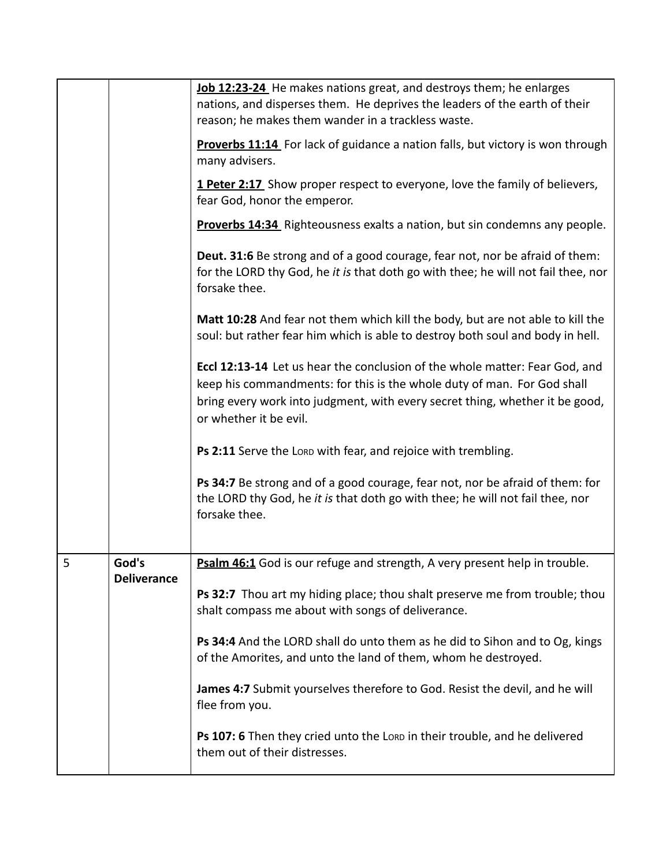|   |                    | Job 12:23-24 He makes nations great, and destroys them; he enlarges<br>nations, and disperses them. He deprives the leaders of the earth of their<br>reason; he makes them wander in a trackless waste.                                                          |
|---|--------------------|------------------------------------------------------------------------------------------------------------------------------------------------------------------------------------------------------------------------------------------------------------------|
|   |                    | <b>Proverbs 11:14</b> For lack of guidance a nation falls, but victory is won through<br>many advisers.                                                                                                                                                          |
|   |                    | <b>1 Peter 2:17</b> Show proper respect to everyone, love the family of believers,<br>fear God, honor the emperor.                                                                                                                                               |
|   |                    | <b>Proverbs 14:34</b> Righteousness exalts a nation, but sin condemns any people.                                                                                                                                                                                |
|   |                    | Deut. 31:6 Be strong and of a good courage, fear not, nor be afraid of them:<br>for the LORD thy God, he it is that doth go with thee; he will not fail thee, nor<br>forsake thee.                                                                               |
|   |                    | Matt 10:28 And fear not them which kill the body, but are not able to kill the<br>soul: but rather fear him which is able to destroy both soul and body in hell.                                                                                                 |
|   |                    | Eccl 12:13-14 Let us hear the conclusion of the whole matter: Fear God, and<br>keep his commandments: for this is the whole duty of man. For God shall<br>bring every work into judgment, with every secret thing, whether it be good,<br>or whether it be evil. |
|   |                    | Ps 2:11 Serve the Lorp with fear, and rejoice with trembling.                                                                                                                                                                                                    |
|   |                    | Ps 34:7 Be strong and of a good courage, fear not, nor be afraid of them: for<br>the LORD thy God, he it is that doth go with thee; he will not fail thee, nor<br>forsake thee.                                                                                  |
| 5 | God's              | Psalm 46:1 God is our refuge and strength, A very present help in trouble.                                                                                                                                                                                       |
|   | <b>Deliverance</b> |                                                                                                                                                                                                                                                                  |
|   |                    | Ps 32:7 Thou art my hiding place; thou shalt preserve me from trouble; thou<br>shalt compass me about with songs of deliverance.                                                                                                                                 |
|   |                    | Ps 34:4 And the LORD shall do unto them as he did to Sihon and to Og, kings<br>of the Amorites, and unto the land of them, whom he destroyed.                                                                                                                    |
|   |                    | James 4:7 Submit yourselves therefore to God. Resist the devil, and he will<br>flee from you.                                                                                                                                                                    |
|   |                    | Ps 107: 6 Then they cried unto the Lorp in their trouble, and he delivered<br>them out of their distresses.                                                                                                                                                      |